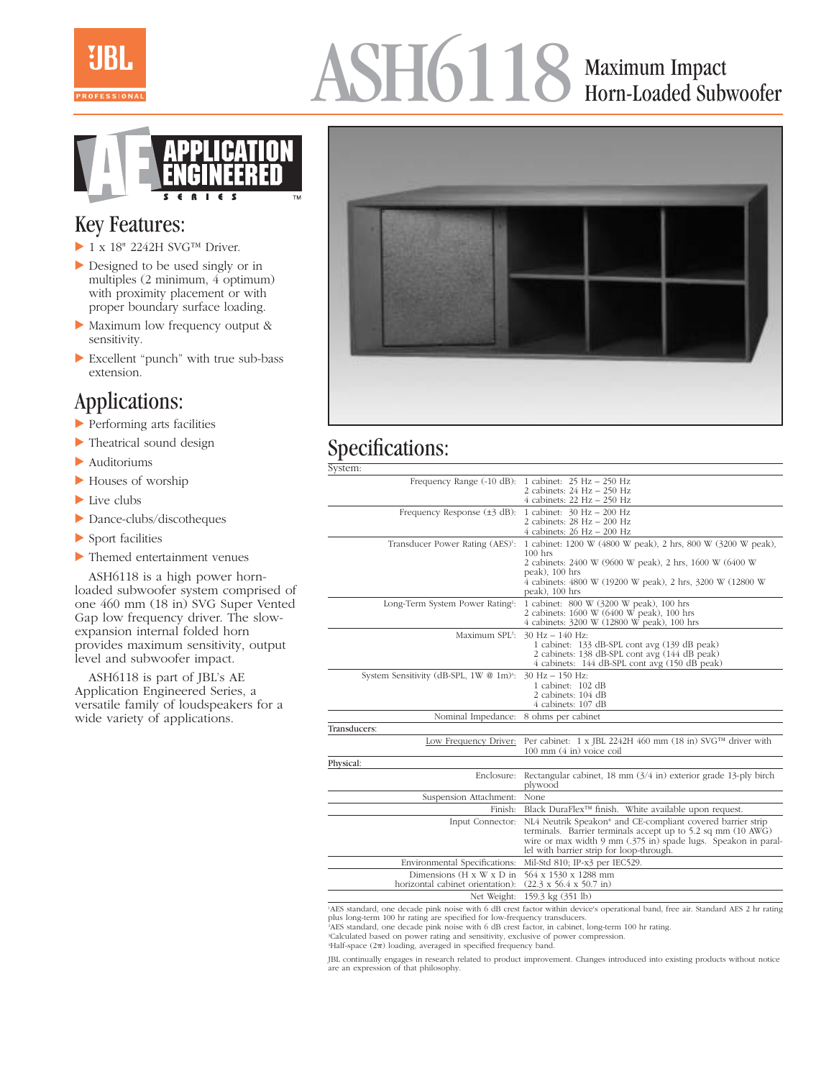

# ASH6118 Maximum Impact Horn-Loaded Subwoofer



### Key Features:

- $\blacktriangleright$  1 x 18" 2242H SVG<sup>TM</sup> Driver.
- Designed to be used singly or in multiples (2 minimum, 4 optimum) with proximity placement or with proper boundary surface loading.
- Maximum low frequency output & sensitivity.
- Excellent "punch" with true sub-bass extension.

# Applications:

- Performing arts facilities
- Theatrical sound design
- Auditoriums
- Houses of worship
- ▶ Live clubs
- Dance-clubs/discotheques
- Sport facilities
- Themed entertainment venues

ASH6118 is a high power hornloaded subwoofer system comprised of one 460 mm (18 in) SVG Super Vented Gap low frequency driver. The slowexpansion internal folded horn provides maximum sensitivity, output level and subwoofer impact.

ASH6118 is part of JBL's AE Application Engineered Series, a versatile family of loudspeakers for a wide variety of applications.



# Specifications:

| System:                                                                                                                         |                                                                                                                                                                                                                                                       |
|---------------------------------------------------------------------------------------------------------------------------------|-------------------------------------------------------------------------------------------------------------------------------------------------------------------------------------------------------------------------------------------------------|
| Frequency Range (-10 dB):                                                                                                       | 1 cabinet: 25 Hz – 250 Hz<br>2 cabinets: 24 Hz - 250 Hz<br>$4$ cabinets: 22 Hz $-$ 250 Hz                                                                                                                                                             |
| Frequency Response $(\pm 3 \text{ dB})$ :                                                                                       | 1 cabinet: 30 Hz - 200 Hz<br>2 cabinets: 28 Hz - 200 Hz<br>$4$ cabinets: $26$ Hz $ 200$ Hz                                                                                                                                                            |
| Transducer Power Rating (AES) <sup>1</sup> :                                                                                    | 1 cabinet: 1200 W (4800 W peak), 2 hrs, 800 W (3200 W peak),<br>$100$ hrs<br>2 cabinets: 2400 W (9600 W peak), 2 hrs, 1600 W (6400 W<br>peak), 100 hrs<br>4 cabinets: 4800 W (19200 W peak), 2 hrs, 3200 W (12800 W<br>peak), 100 hrs                 |
| Long-Term System Power Rating <sup>2</sup> :                                                                                    | 1 cabinet: 800 W (3200 W peak), 100 hrs<br>2 cabinets: 1600 W (6400 W peak), 100 hrs<br>4 cabinets: 3200 W (12800 W peak), 100 hrs                                                                                                                    |
| Maximum SPL3:                                                                                                                   | $30$ Hz $- 140$ Hz:<br>1 cabinet: 133 dB-SPL cont avg (139 dB peak)<br>2 cabinets: 138 dB-SPL cont avg (144 dB peak)<br>4 cabinets: 144 dB-SPL cont avg (150 dB peak)                                                                                 |
| System Sensitivity (dB-SPL, 1W @ 1m) <sup>4</sup> :                                                                             | $30$ Hz $- 150$ Hz:<br>1 cabinet: 102 dB<br>2 cabinets: 104 dB<br>4 cabinets: 107 dB                                                                                                                                                                  |
| Nominal Impedance:                                                                                                              | 8 ohms per cabinet                                                                                                                                                                                                                                    |
| Transducers:                                                                                                                    |                                                                                                                                                                                                                                                       |
| Low Frequency Driver:                                                                                                           | Per cabinet: 1 x JBL 2242H 460 mm (18 in) SVG™ driver with<br>100 mm (4 in) voice coil                                                                                                                                                                |
| Physical:                                                                                                                       |                                                                                                                                                                                                                                                       |
| Enclosure:                                                                                                                      | Rectangular cabinet, $18 \text{ mm } (3/4 \text{ in})$ exterior grade $13$ -ply birch<br>plywood                                                                                                                                                      |
| Suspension Attachment:                                                                                                          | None                                                                                                                                                                                                                                                  |
| Finish:                                                                                                                         | Black DuraFlex <sup>™</sup> finish. White available upon request.                                                                                                                                                                                     |
| Input Connector:                                                                                                                | NL4 Neutrik Speakon <sup>®</sup> and CE-compliant covered barrier strip<br>terminals. Barrier terminals accept up to 5.2 sq mm (10 AWG)<br>wire or max width 9 mm (.375 in) spade lugs. Speakon in paral-<br>lel with barrier strip for loop-through. |
| Environmental Specifications:                                                                                                   | Mil-Std 810; IP-x3 per IEC529.                                                                                                                                                                                                                        |
| Dimensions $(H \times W \times D)$ in<br>horizontal cabinet orientation):                                                       | 564 x 1530 x 1288 mm<br>$(22.3 \times 56.4 \times 50.7 \text{ in})$                                                                                                                                                                                   |
|                                                                                                                                 | Net Weight: 159.3 kg (351 lb)                                                                                                                                                                                                                         |
| AES standard, one decade pink noise with 6 dB crest factor within device's operational band, free air. Standard AES 2 hr rating |                                                                                                                                                                                                                                                       |

AES standard, one decade pink noise with 6 dB crest factor within device's operational band, free air. Standard AES 2 hr rating plus long-term 100 hr rating are specified for low-frequency transducers.

2 AES standard, one decade pink noise with 6 dB crest factor, in cabinet, long-term 100 hr rating.

<sup>3</sup>Calculated based on power rating and sensitivity, exclusive of power compression.<br><sup>4</sup>Half-space (2π) loading, averaged in specified frequency band.

JBL continually engages in research related to product improvement. Changes introduced into existing products without notice are an expression of that philosophy.